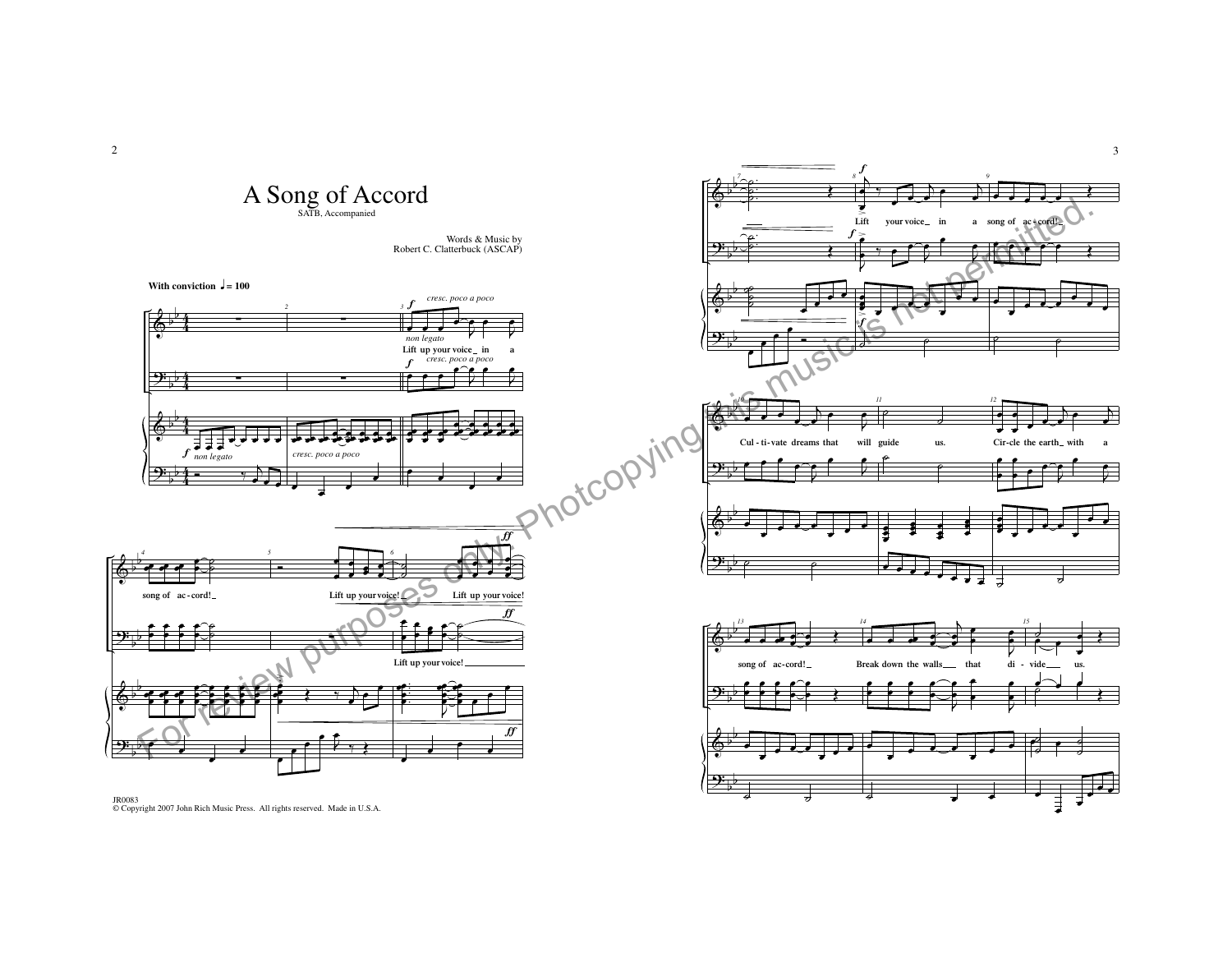

ú

 $\sim$   $\sim$   $\sim$ 

 $\overline{\phantom{a}}$ 

c o

JR0083 © Copyright 2007 John Rich Music Press. All rights reserved. Made in U.S.A.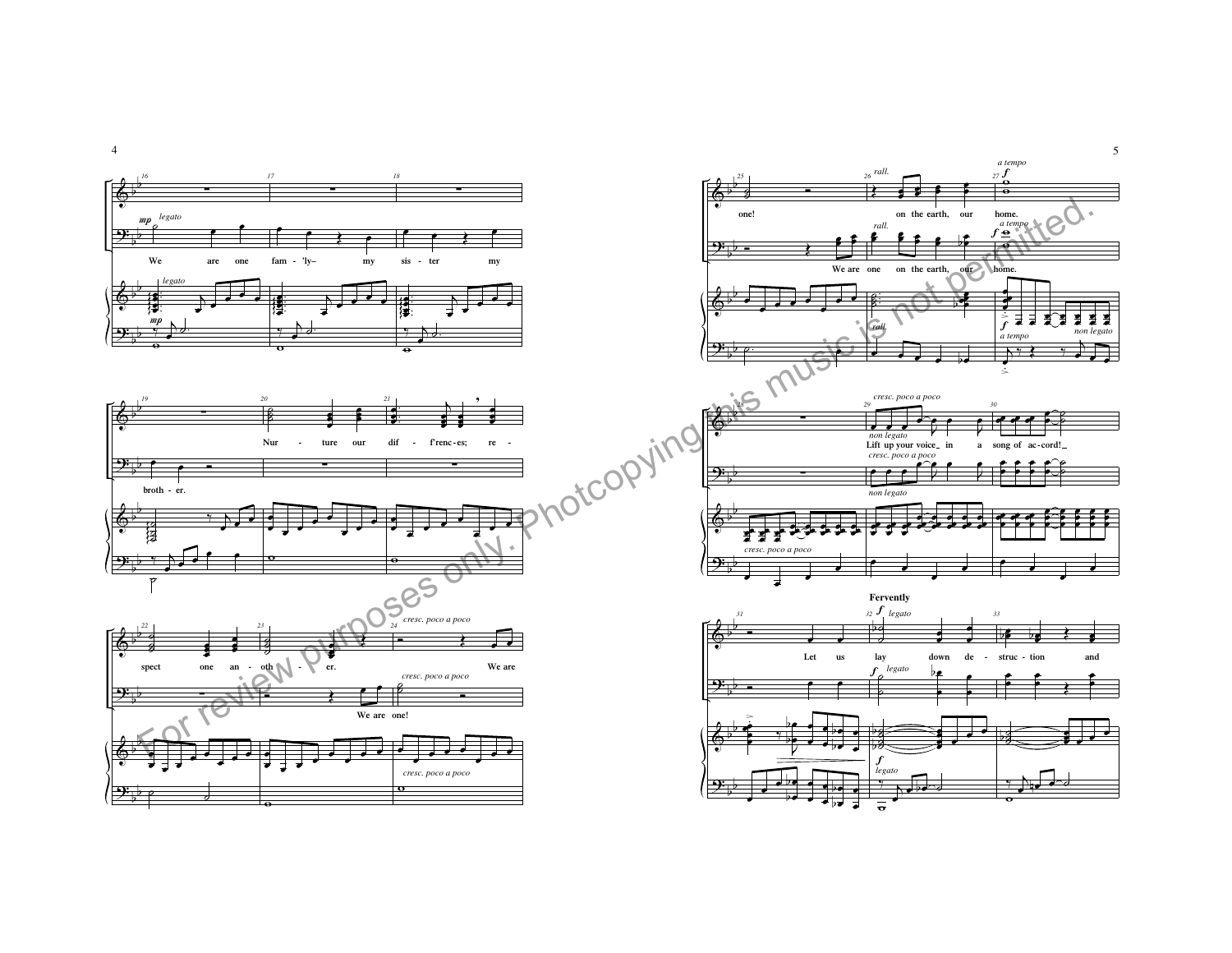

4

5

*non legato* ,,,

j c <u>. . .</u>

o ۰ о o ь z  $\ddot{\phantom{a}}$ 

c

7

o ю

o ø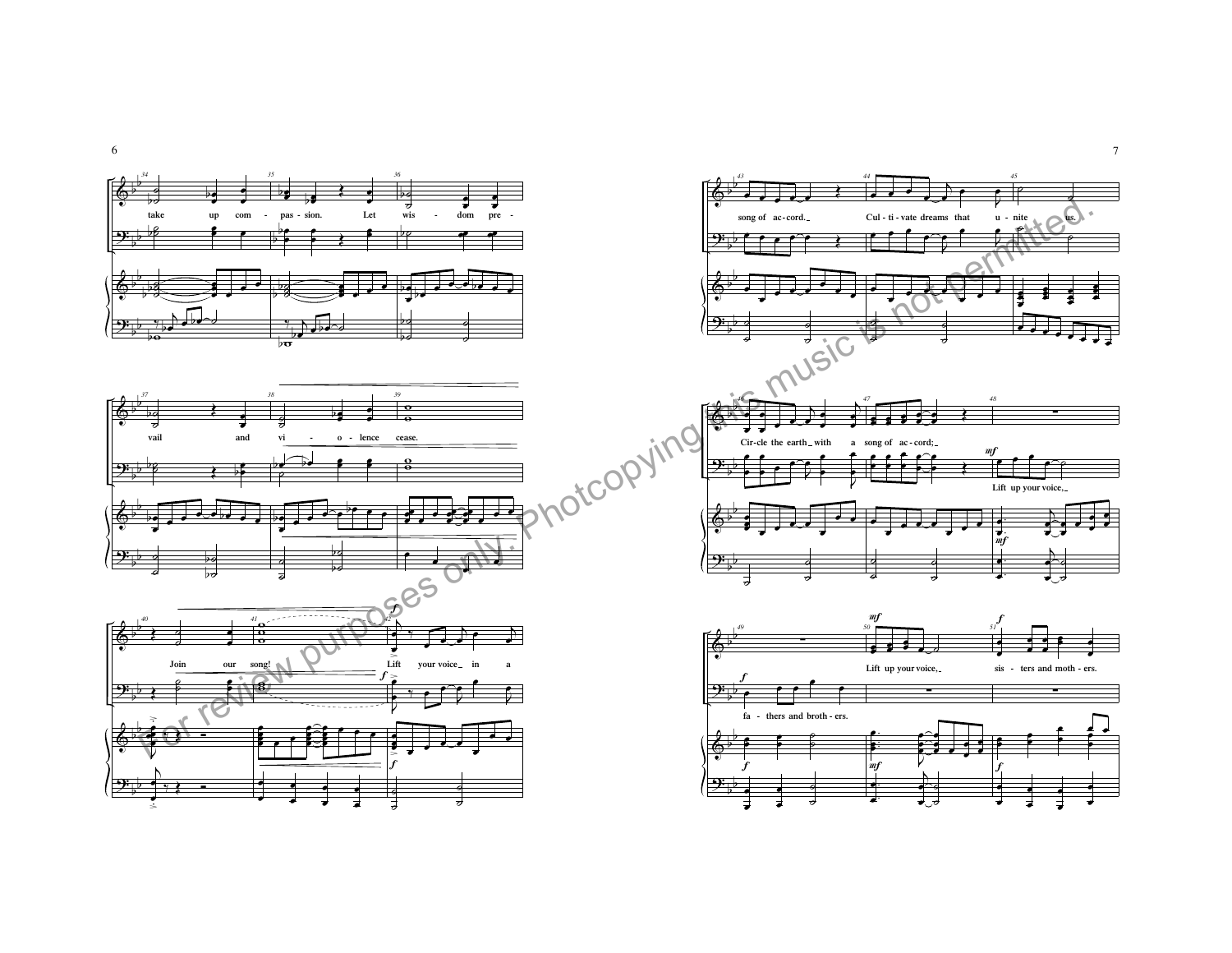



7